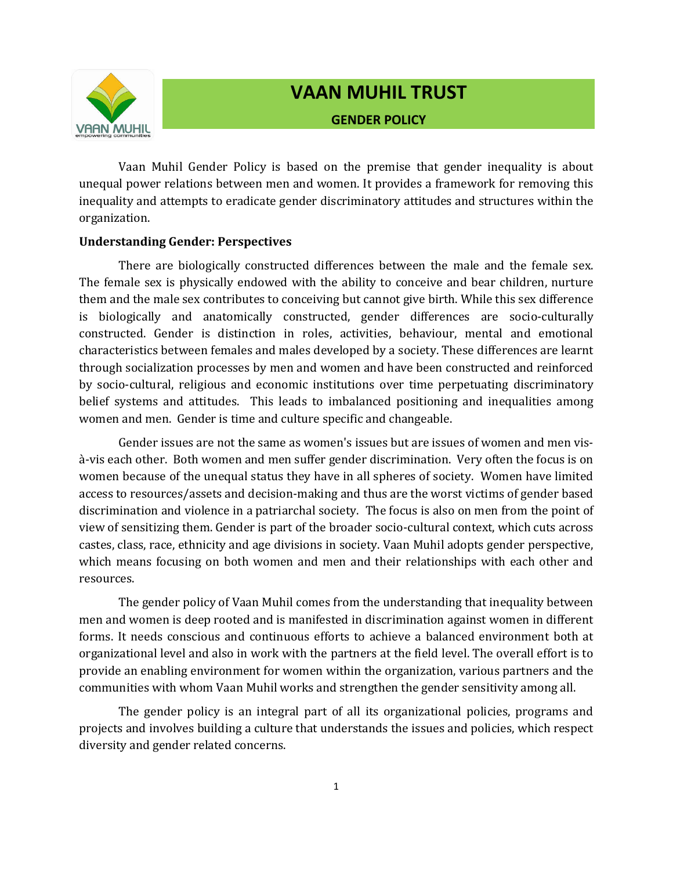

# **VAAN MUHIL TRUST GENDER POLICY**

Vaan Muhil Gender Policy is based on the premise that gender inequality is about unequal power relations between men and women. It provides a framework for removing this inequality and attempts to eradicate gender discriminatory attitudes and structures within the organization.

### **Understanding Gender: Perspectives**

There are biologically constructed differences between the male and the female sex. The female sex is physically endowed with the ability to conceive and bear children, nurture them and the male sex contributes to conceiving but cannot give birth. While this sex difference is biologically and anatomically constructed, gender differences are socio-culturally constructed. Gender is distinction in roles, activities, behaviour, mental and emotional characteristics between females and males developed by a society. These differences are learnt through socialization processes by men and women and have been constructed and reinforced by socio-cultural, religious and economic institutions over time perpetuating discriminatory belief systems and attitudes. This leads to imbalanced positioning and inequalities among women and men. Gender is time and culture specific and changeable.

Gender issues are not the same as women's issues but are issues of women and men visà-vis each other. Both women and men suffer gender discrimination. Very often the focus is on women because of the unequal status they have in all spheres of society. Women have limited access to resources/assets and decision-making and thus are the worst victims of gender based discrimination and violence in a patriarchal society. The focus is also on men from the point of view of sensitizing them. Gender is part of the broader socio-cultural context, which cuts across castes, class, race, ethnicity and age divisions in society. Vaan Muhil adopts gender perspective, which means focusing on both women and men and their relationships with each other and resources.

The gender policy of Vaan Muhil comes from the understanding that inequality between men and women is deep rooted and is manifested in discrimination against women in different forms. It needs conscious and continuous efforts to achieve a balanced environment both at organizational level and also in work with the partners at the field level. The overall effort is to provide an enabling environment for women within the organization, various partners and the communities with whom Vaan Muhil works and strengthen the gender sensitivity among all.

The gender policy is an integral part of all its organizational policies, programs and projects and involves building a culture that understands the issues and policies, which respect diversity and gender related concerns.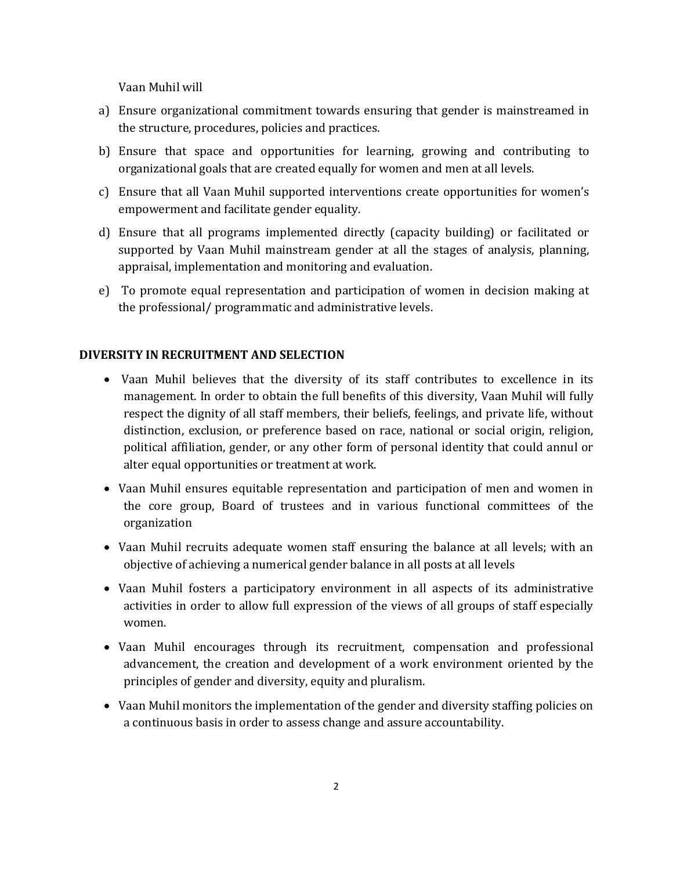Vaan Muhil will

- a) Ensure organizational commitment towards ensuring that gender is mainstreamed in the structure, procedures, policies and practices.
- b) Ensure that space and opportunities for learning, growing and contributing to organizational goals that are created equally for women and men at all levels.
- c) Ensure that all Vaan Muhil supported interventions create opportunities for women's empowerment and facilitate gender equality.
- d) Ensure that all programs implemented directly (capacity building) or facilitated or supported by Vaan Muhil mainstream gender at all the stages of analysis, planning, appraisal, implementation and monitoring and evaluation.
- e) To promote equal representation and participation of women in decision making at the professional/ programmatic and administrative levels.

#### **DIVERSITY IN RECRUITMENT AND SELECTION**

- Vaan Muhil believes that the diversity of its staff contributes to excellence in its management. In order to obtain the full benefits of this diversity, Vaan Muhil will fully respect the dignity of all staff members, their beliefs, feelings, and private life, without distinction, exclusion, or preference based on race, national or social origin, religion, political affiliation, gender, or any other form of personal identity that could annul or alter equal opportunities or treatment at work.
- Vaan Muhil ensures equitable representation and participation of men and women in the core group, Board of trustees and in various functional committees of the organization
- Vaan Muhil recruits adequate women staff ensuring the balance at all levels; with an objective of achieving a numerical gender balance in all posts at all levels
- Vaan Muhil fosters a participatory environment in all aspects of its administrative activities in order to allow full expression of the views of all groups of staff especially women.
- Vaan Muhil encourages through its recruitment, compensation and professional advancement, the creation and development of a work environment oriented by the principles of gender and diversity, equity and pluralism.
- Vaan Muhil monitors the implementation of the gender and diversity staffing policies on a continuous basis in order to assess change and assure accountability.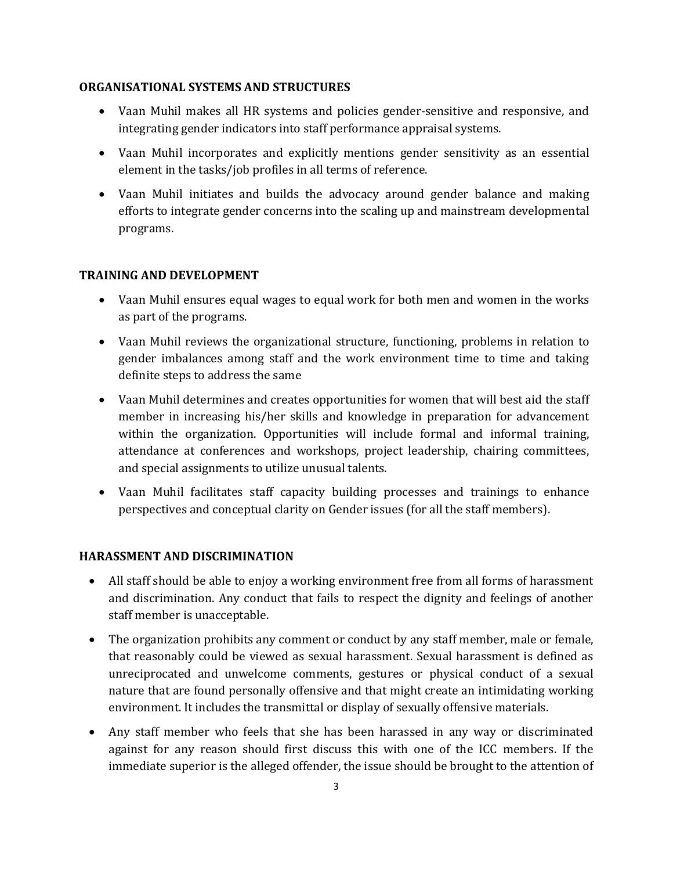## **ORGANISATIONAL SYSTEMS AND STRUCTURES**

- Vaan Muhil makes all HR systems and policies gender-sensitive and responsive, and integrating gender indicators into staff performance appraisal systems.
- Vaan Muhil incorporates and explicitly mentions gender sensitivity as an essential element in the tasks/job profiles in all terms of reference.
- Vaan Muhil initiates and builds the advocacy around gender balance and making efforts to integrate gender concerns into the scaling up and mainstream developmental programs.

## **TRAINING AND DEVELOPMENT**

- Vaan Muhil ensures equal wages to equal work for both men and women in the works as part of the programs.
- Vaan Muhil reviews the organizational structure, functioning, problems in relation to gender imbalances among staff and the work environment time to time and taking definite steps to address the same
- Vaan Muhil determines and creates opportunities for women that will best aid the staff member in increasing his/her skills and knowledge in preparation for advancement within the organization. Opportunities will include formal and informal training, attendance at conferences and workshops, project leadership, chairing committees, and special assignments to utilize unusual talents.
- Vaan Muhil facilitates staff capacity building processes and trainings to enhance perspectives and conceptual clarity on Gender issues (for all the staff members).

# **HARASSMENT AND DISCRIMINATION**

- All staff should be able to enjoy a working environment free from all forms of harassment and discrimination. Any conduct that fails to respect the dignity and feelings of another staff member is unacceptable.
- The organization prohibits any comment or conduct by any staff member, male or female, that reasonably could be viewed as sexual harassment. Sexual harassment is defined as unreciprocated and unwelcome comments, gestures or physical conduct of a sexual nature that are found personally offensive and that might create an intimidating working environment. It includes the transmittal or display of sexually offensive materials.
- Any staff member who feels that she has been harassed in any way or discriminated against for any reason should first discuss this with one of the ICC members. If the immediate superior is the alleged offender, the issue should be brought to the attention of